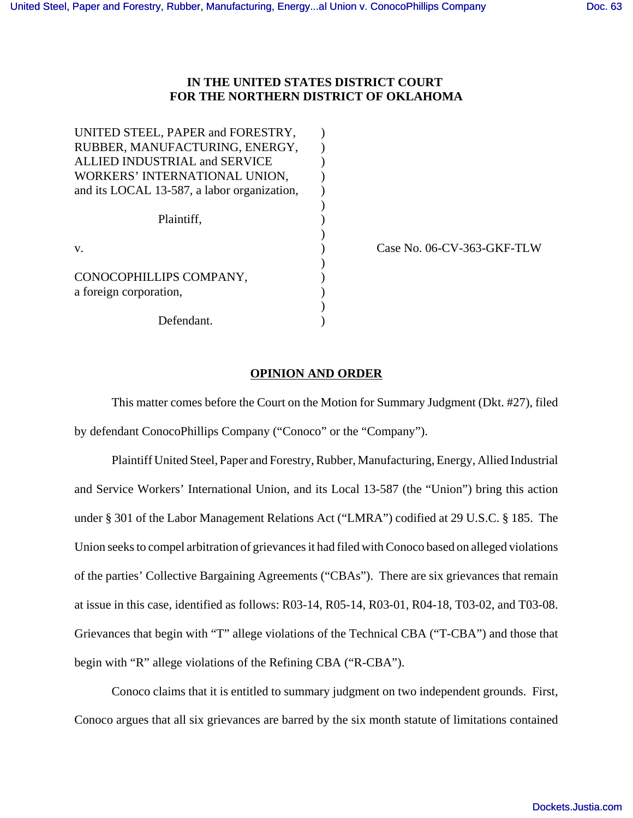# **IN THE UNITED STATES DISTRICT COURT FOR THE NORTHERN DISTRICT OF OKLAHOMA**

| UNITED STEEL, PAPER and FORESTRY,           |  |
|---------------------------------------------|--|
| RUBBER, MANUFACTURING, ENERGY,              |  |
| ALLIED INDUSTRIAL and SERVICE               |  |
| WORKERS' INTERNATIONAL UNION,               |  |
| and its LOCAL 13-587, a labor organization, |  |
|                                             |  |
| Plaintiff,                                  |  |
|                                             |  |
| $V_{\cdot}$                                 |  |
|                                             |  |
| CONOCOPHILLIPS COMPANY,                     |  |
| a foreign corporation,                      |  |
|                                             |  |
| Defendant.                                  |  |

Case No. 06-CV-363-GKF-TLW

## **OPINION AND ORDER**

This matter comes before the Court on the Motion for Summary Judgment (Dkt. #27), filed by defendant ConocoPhillips Company ("Conoco" or the "Company").

Plaintiff United Steel, Paper and Forestry, Rubber, Manufacturing, Energy, Allied Industrial and Service Workers' International Union, and its Local 13-587 (the "Union") bring this action under § 301 of the Labor Management Relations Act ("LMRA") codified at 29 U.S.C. § 185. The Union seeks to compel arbitration of grievances it had filed with Conoco based on alleged violations of the parties' Collective Bargaining Agreements ("CBAs"). There are six grievances that remain at issue in this case, identified as follows: R03-14, R05-14, R03-01, R04-18, T03-02, and T03-08. Grievances that begin with "T" allege violations of the Technical CBA ("T-CBA") and those that begin with "R" allege violations of the Refining CBA ("R-CBA").

Conoco claims that it is entitled to summary judgment on two independent grounds. First, Conoco argues that all six grievances are barred by the six month statute of limitations contained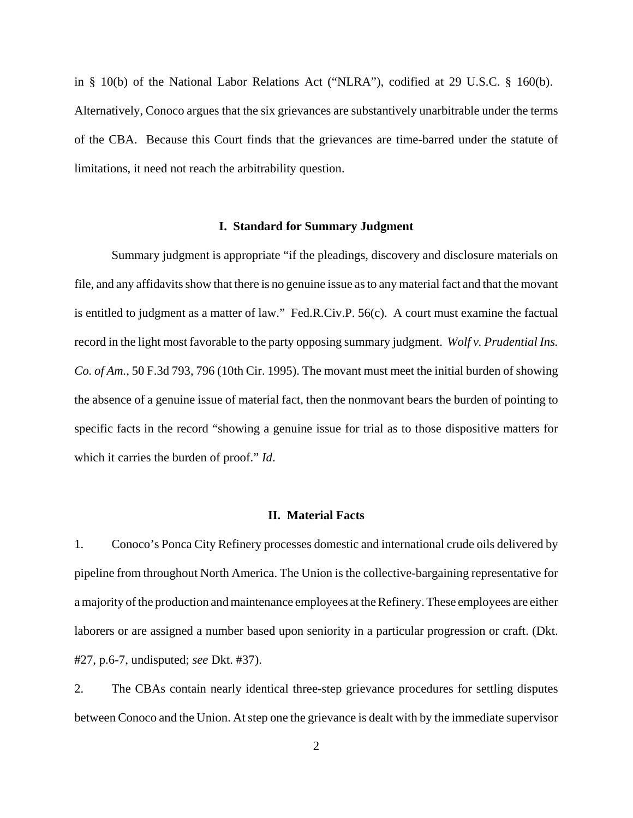in § 10(b) of the National Labor Relations Act ("NLRA"), codified at 29 U.S.C. § 160(b). Alternatively, Conoco argues that the six grievances are substantively unarbitrable under the terms of the CBA. Because this Court finds that the grievances are time-barred under the statute of limitations, it need not reach the arbitrability question.

## **I. Standard for Summary Judgment**

Summary judgment is appropriate "if the pleadings, discovery and disclosure materials on file, and any affidavits show that there is no genuine issue as to any material fact and that the movant is entitled to judgment as a matter of law." Fed.R.Civ.P. 56(c). A court must examine the factual record in the light most favorable to the party opposing summary judgment. *Wolf v. Prudential Ins. Co. of Am.*, 50 F.3d 793, 796 (10th Cir. 1995). The movant must meet the initial burden of showing the absence of a genuine issue of material fact, then the nonmovant bears the burden of pointing to specific facts in the record "showing a genuine issue for trial as to those dispositive matters for which it carries the burden of proof." *Id*.

## **II. Material Facts**

1. Conoco's Ponca City Refinery processes domestic and international crude oils delivered by pipeline from throughout North America. The Union is the collective-bargaining representative for a majority of the production and maintenance employees at the Refinery. These employees are either laborers or are assigned a number based upon seniority in a particular progression or craft. (Dkt. #27, p.6-7, undisputed; *see* Dkt. #37).

2. The CBAs contain nearly identical three-step grievance procedures for settling disputes between Conoco and the Union. At step one the grievance is dealt with by the immediate supervisor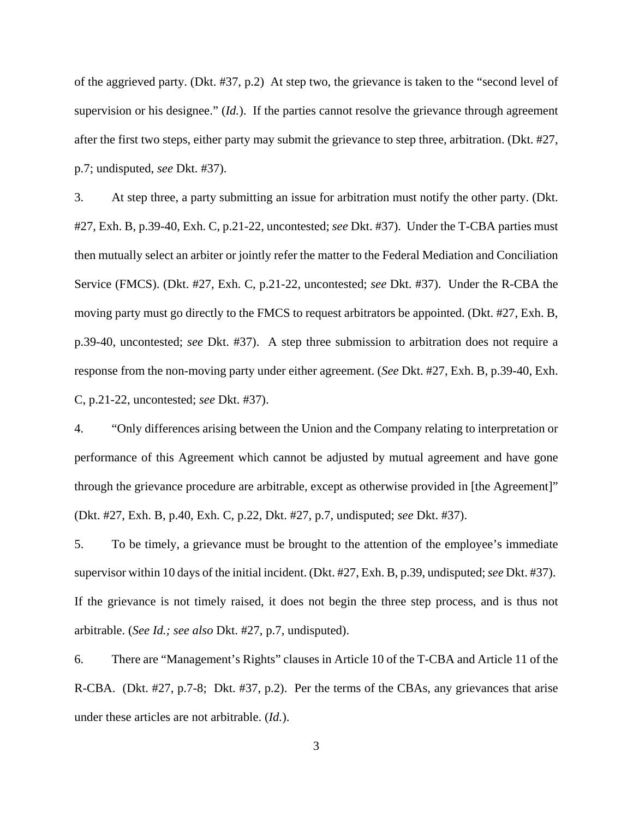of the aggrieved party. (Dkt. #37, p.2) At step two, the grievance is taken to the "second level of supervision or his designee." (*Id.*). If the parties cannot resolve the grievance through agreement after the first two steps, either party may submit the grievance to step three, arbitration. (Dkt. #27, p.7; undisputed, *see* Dkt. #37).

3. At step three, a party submitting an issue for arbitration must notify the other party. (Dkt. #27, Exh. B, p.39-40, Exh. C, p.21-22, uncontested; *see* Dkt. #37). Under the T-CBA parties must then mutually select an arbiter or jointly refer the matter to the Federal Mediation and Conciliation Service (FMCS). (Dkt. #27, Exh. C, p.21-22, uncontested; *see* Dkt. #37). Under the R-CBA the moving party must go directly to the FMCS to request arbitrators be appointed. (Dkt. #27, Exh. B, p.39-40, uncontested; *see* Dkt. #37). A step three submission to arbitration does not require a response from the non-moving party under either agreement. (*See* Dkt. #27, Exh. B, p.39-40, Exh. C, p.21-22, uncontested; *see* Dkt. #37).

4. "Only differences arising between the Union and the Company relating to interpretation or performance of this Agreement which cannot be adjusted by mutual agreement and have gone through the grievance procedure are arbitrable, except as otherwise provided in [the Agreement]" (Dkt. #27, Exh. B, p.40, Exh. C, p.22, Dkt. #27, p.7, undisputed; *see* Dkt. #37).

5. To be timely, a grievance must be brought to the attention of the employee's immediate supervisor within 10 days of the initial incident. (Dkt. #27, Exh. B, p.39, undisputed; *see* Dkt. #37). If the grievance is not timely raised, it does not begin the three step process, and is thus not arbitrable. (*See Id.; see also* Dkt. #27, p.7, undisputed).

6. There are "Management's Rights" clauses in Article 10 of the T-CBA and Article 11 of the R-CBA. (Dkt. #27, p.7-8; Dkt. #37, p.2). Per the terms of the CBAs, any grievances that arise under these articles are not arbitrable. (*Id.*).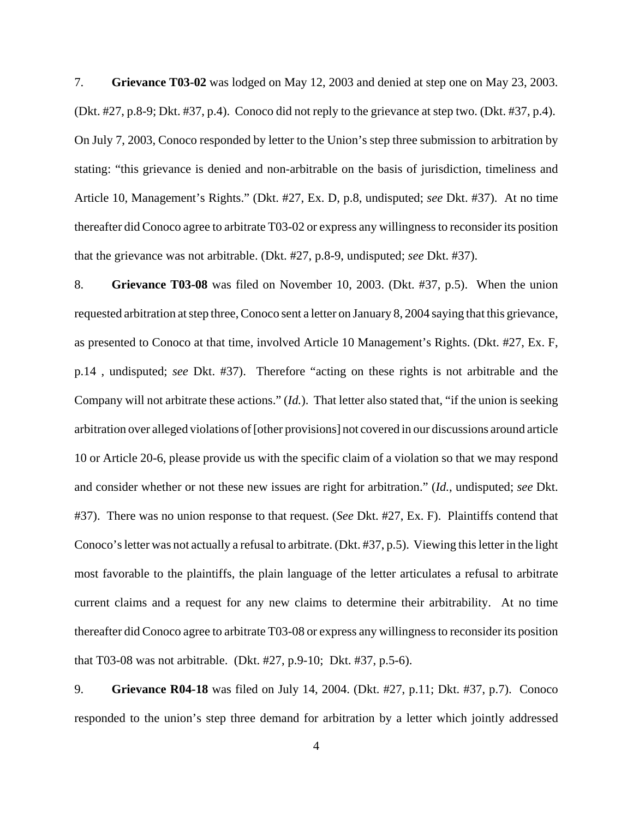7. **Grievance T03-02** was lodged on May 12, 2003 and denied at step one on May 23, 2003. (Dkt. #27, p.8-9; Dkt. #37, p.4). Conoco did not reply to the grievance at step two. (Dkt. #37, p.4). On July 7, 2003, Conoco responded by letter to the Union's step three submission to arbitration by stating: "this grievance is denied and non-arbitrable on the basis of jurisdiction, timeliness and Article 10, Management's Rights." (Dkt. #27, Ex. D, p.8, undisputed; *see* Dkt. #37). At no time thereafter did Conoco agree to arbitrate T03-02 or express any willingness to reconsider its position that the grievance was not arbitrable. (Dkt. #27, p.8-9, undisputed; *see* Dkt. #37).

8. **Grievance T03-08** was filed on November 10, 2003. (Dkt. #37, p.5). When the union requested arbitration at step three, Conoco sent a letter on January 8, 2004 saying that this grievance, as presented to Conoco at that time, involved Article 10 Management's Rights. (Dkt. #27, Ex. F, p.14 , undisputed; *see* Dkt. #37). Therefore "acting on these rights is not arbitrable and the Company will not arbitrate these actions." (*Id.*). That letter also stated that, "if the union is seeking arbitration over alleged violations of [other provisions] not covered in our discussions around article 10 or Article 20-6, please provide us with the specific claim of a violation so that we may respond and consider whether or not these new issues are right for arbitration." (*Id.*, undisputed; *see* Dkt. #37). There was no union response to that request. (*See* Dkt. #27, Ex. F). Plaintiffs contend that Conoco's letter was not actually a refusal to arbitrate. (Dkt. #37, p.5). Viewing this letter in the light most favorable to the plaintiffs, the plain language of the letter articulates a refusal to arbitrate current claims and a request for any new claims to determine their arbitrability. At no time thereafter did Conoco agree to arbitrate T03-08 or express any willingness to reconsider its position that T03-08 was not arbitrable. (Dkt. #27, p.9-10; Dkt. #37, p.5-6).

9. **Grievance R04-18** was filed on July 14, 2004. (Dkt. #27, p.11; Dkt. #37, p.7). Conoco responded to the union's step three demand for arbitration by a letter which jointly addressed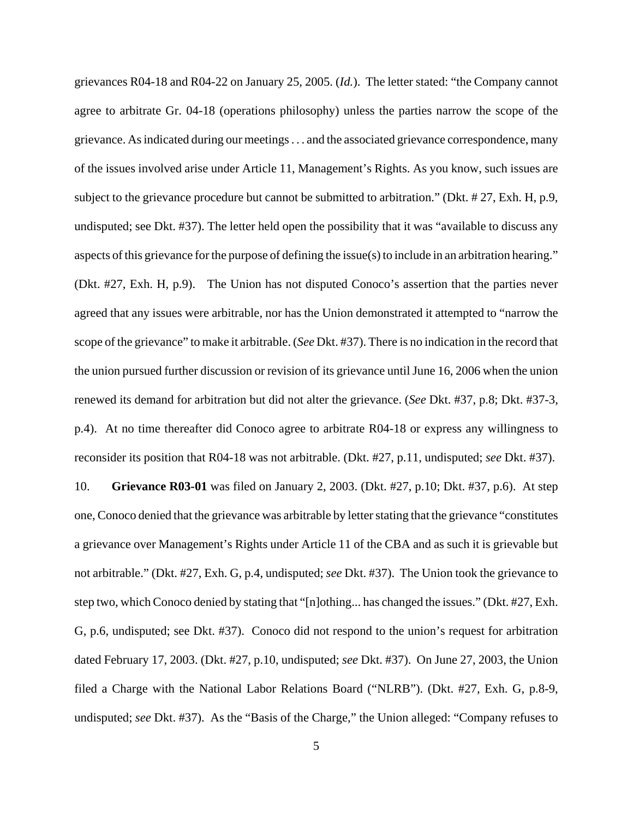grievances R04-18 and R04-22 on January 25, 2005. (*Id.*). The letter stated: "the Company cannot agree to arbitrate Gr. 04-18 (operations philosophy) unless the parties narrow the scope of the grievance. As indicated during our meetings . . . and the associated grievance correspondence, many of the issues involved arise under Article 11, Management's Rights. As you know, such issues are subject to the grievance procedure but cannot be submitted to arbitration." (Dkt. # 27, Exh. H, p.9, undisputed; see Dkt. #37). The letter held open the possibility that it was "available to discuss any aspects of this grievance for the purpose of defining the issue(s) to include in an arbitration hearing." (Dkt. #27, Exh. H, p.9). The Union has not disputed Conoco's assertion that the parties never agreed that any issues were arbitrable, nor has the Union demonstrated it attempted to "narrow the scope of the grievance" to make it arbitrable. (*See* Dkt. #37). There is no indication in the record that the union pursued further discussion or revision of its grievance until June 16, 2006 when the union renewed its demand for arbitration but did not alter the grievance. (*See* Dkt. #37, p.8; Dkt. #37-3, p.4). At no time thereafter did Conoco agree to arbitrate R04-18 or express any willingness to reconsider its position that R04-18 was not arbitrable. (Dkt. #27, p.11, undisputed; *see* Dkt. #37). 10. **Grievance R03-01** was filed on January 2, 2003. (Dkt. #27, p.10; Dkt. #37, p.6). At step one, Conoco denied that the grievance was arbitrable by letter stating that the grievance "constitutes a grievance over Management's Rights under Article 11 of the CBA and as such it is grievable but not arbitrable." (Dkt. #27, Exh. G, p.4, undisputed; *see* Dkt. #37). The Union took the grievance to step two, which Conoco denied by stating that "[n]othing... has changed the issues." (Dkt. #27, Exh. G, p.6, undisputed; see Dkt. #37). Conoco did not respond to the union's request for arbitration dated February 17, 2003. (Dkt. #27, p.10, undisputed; *see* Dkt. #37). On June 27, 2003, the Union filed a Charge with the National Labor Relations Board ("NLRB"). (Dkt. #27, Exh. G, p.8-9, undisputed; *see* Dkt. #37). As the "Basis of the Charge," the Union alleged: "Company refuses to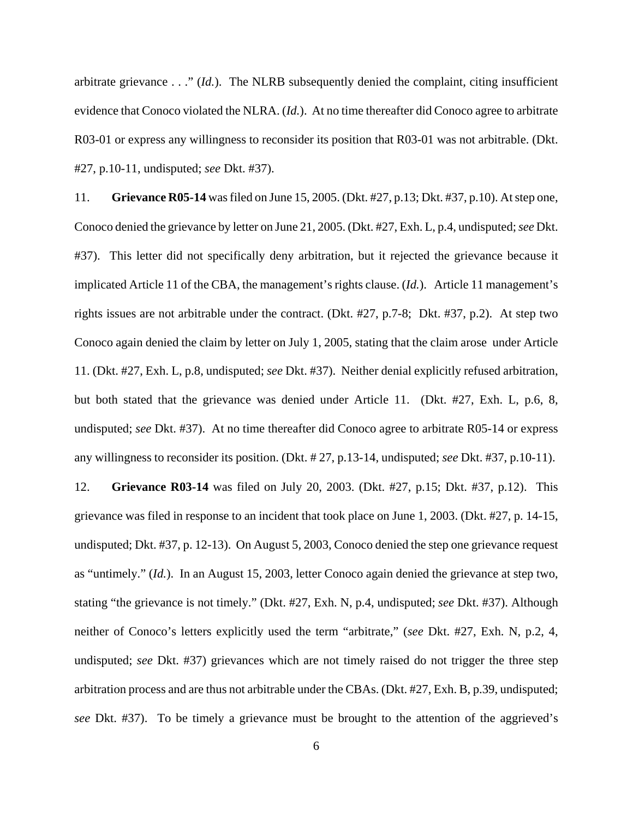arbitrate grievance . . ." (*Id.*). The NLRB subsequently denied the complaint, citing insufficient evidence that Conoco violated the NLRA. (*Id.*). At no time thereafter did Conoco agree to arbitrate R03-01 or express any willingness to reconsider its position that R03-01 was not arbitrable. (Dkt. #27, p.10-11, undisputed; *see* Dkt. #37).

11. **Grievance R05-14** was filed on June 15, 2005. (Dkt. #27, p.13; Dkt. #37, p.10). At step one, Conoco denied the grievance by letter on June 21, 2005. (Dkt. #27, Exh. L, p.4, undisputed; *see* Dkt. #37). This letter did not specifically deny arbitration, but it rejected the grievance because it implicated Article 11 of the CBA, the management's rights clause. (*Id.*). Article 11 management's rights issues are not arbitrable under the contract. (Dkt. #27, p.7-8; Dkt. #37, p.2). At step two Conoco again denied the claim by letter on July 1, 2005, stating that the claim arose under Article 11. (Dkt. #27, Exh. L, p.8, undisputed; *see* Dkt. #37). Neither denial explicitly refused arbitration, but both stated that the grievance was denied under Article 11. (Dkt. #27, Exh. L, p.6, 8, undisputed; *see* Dkt. #37). At no time thereafter did Conoco agree to arbitrate R05-14 or express any willingness to reconsider its position. (Dkt. # 27, p.13-14, undisputed; *see* Dkt. #37, p.10-11).

12. **Grievance R03-14** was filed on July 20, 2003. (Dkt. #27, p.15; Dkt. #37, p.12). This grievance was filed in response to an incident that took place on June 1, 2003. (Dkt. #27, p. 14-15, undisputed; Dkt. #37, p. 12-13). On August 5, 2003, Conoco denied the step one grievance request as "untimely." (*Id.*). In an August 15, 2003, letter Conoco again denied the grievance at step two, stating "the grievance is not timely." (Dkt. #27, Exh. N, p.4, undisputed; *see* Dkt. #37). Although neither of Conoco's letters explicitly used the term "arbitrate," (*see* Dkt. #27, Exh. N, p.2, 4, undisputed; *see* Dkt. #37) grievances which are not timely raised do not trigger the three step arbitration process and are thus not arbitrable under the CBAs. (Dkt. #27, Exh. B, p.39, undisputed; *see* Dkt. #37). To be timely a grievance must be brought to the attention of the aggrieved's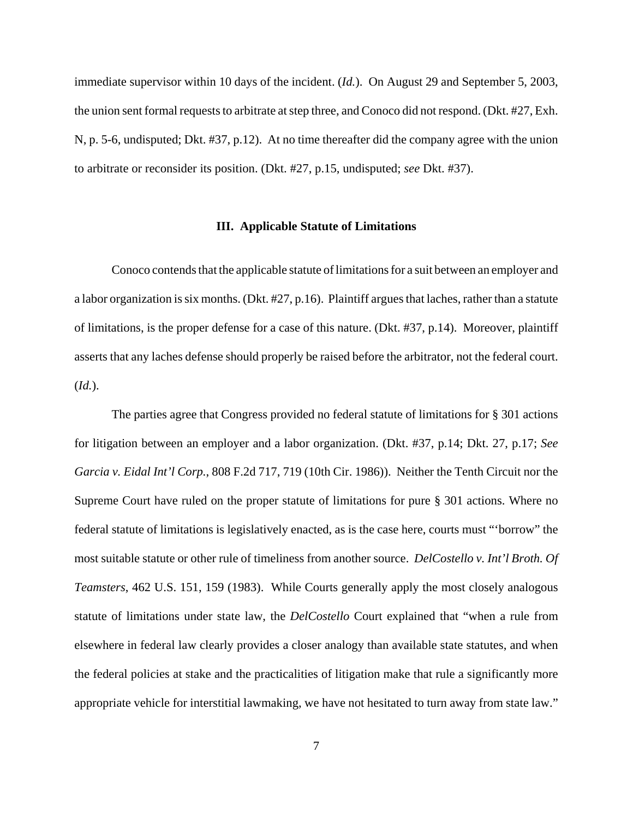immediate supervisor within 10 days of the incident. (*Id.*). On August 29 and September 5, 2003, the union sent formal requests to arbitrate at step three, and Conoco did not respond. (Dkt. #27, Exh. N, p. 5-6, undisputed; Dkt. #37, p.12). At no time thereafter did the company agree with the union to arbitrate or reconsider its position. (Dkt. #27, p.15, undisputed; *see* Dkt. #37).

# **III. Applicable Statute of Limitations**

Conoco contends that the applicable statute of limitations for a suit between an employer and a labor organization is six months. (Dkt. #27, p.16). Plaintiff argues that laches, rather than a statute of limitations, is the proper defense for a case of this nature. (Dkt. #37, p.14). Moreover, plaintiff asserts that any laches defense should properly be raised before the arbitrator, not the federal court. (*Id.*).

The parties agree that Congress provided no federal statute of limitations for § 301 actions for litigation between an employer and a labor organization. (Dkt. #37, p.14; Dkt. 27, p.17; *See Garcia v. Eidal Int'l Corp.*, 808 F.2d 717, 719 (10th Cir. 1986)). Neither the Tenth Circuit nor the Supreme Court have ruled on the proper statute of limitations for pure § 301 actions. Where no federal statute of limitations is legislatively enacted, as is the case here, courts must "'borrow" the most suitable statute or other rule of timeliness from another source. *DelCostello v. Int'l Broth. Of Teamsters*, 462 U.S. 151, 159 (1983). While Courts generally apply the most closely analogous statute of limitations under state law, the *DelCostello* Court explained that "when a rule from elsewhere in federal law clearly provides a closer analogy than available state statutes, and when the federal policies at stake and the practicalities of litigation make that rule a significantly more appropriate vehicle for interstitial lawmaking, we have not hesitated to turn away from state law."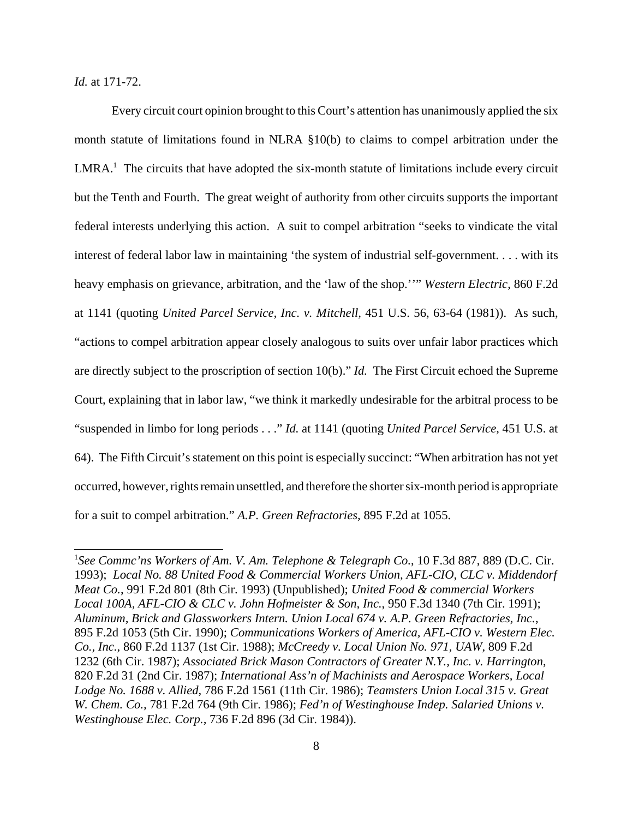*Id.* at 171-72.

Every circuit court opinion brought to this Court's attention has unanimously applied the six month statute of limitations found in NLRA §10(b) to claims to compel arbitration under the  $LMRA<sup>1</sup>$ . The circuits that have adopted the six-month statute of limitations include every circuit but the Tenth and Fourth. The great weight of authority from other circuits supports the important federal interests underlying this action. A suit to compel arbitration "seeks to vindicate the vital interest of federal labor law in maintaining 'the system of industrial self-government. . . . with its heavy emphasis on grievance, arbitration, and the 'law of the shop.''" *Western Electric*, 860 F.2d at 1141 (quoting *United Parcel Service, Inc. v. Mitchell,* 451 U.S. 56, 63-64 (1981)). As such, "actions to compel arbitration appear closely analogous to suits over unfair labor practices which are directly subject to the proscription of section 10(b)." *Id.* The First Circuit echoed the Supreme Court, explaining that in labor law, "we think it markedly undesirable for the arbitral process to be "suspended in limbo for long periods . . ." *Id.* at 1141 (quoting *United Parcel Service,* 451 U.S. at 64). The Fifth Circuit's statement on this point is especially succinct: "When arbitration has not yet occurred, however, rights remain unsettled, and therefore the shorter six-month period is appropriate for a suit to compel arbitration." *A.P. Green Refractories,* 895 F.2d at 1055.

<sup>&</sup>lt;sup>1</sup>See Commc'ns Workers of Am. V. Am. Telephone & Telegraph Co., 10 F.3d 887, 889 (D.C. Cir. 1993); *Local No. 88 United Food & Commercial Workers Union, AFL-CIO, CLC v. Middendorf Meat Co.*, 991 F.2d 801 (8th Cir. 1993) (Unpublished); *United Food & commercial Workers Local 100A, AFL-CIO & CLC v. John Hofmeister & Son, Inc.*, 950 F.3d 1340 (7th Cir. 1991); *Aluminum, Brick and Glassworkers Intern. Union Local 674 v. A.P. Green Refractories, Inc.*, 895 F.2d 1053 (5th Cir. 1990); *Communications Workers of America, AFL-CIO v. Western Elec. Co., Inc.*, 860 F.2d 1137 (1st Cir. 1988); *McCreedy v. Local Union No. 971, UAW*, 809 F.2d 1232 (6th Cir. 1987); *Associated Brick Mason Contractors of Greater N.Y., Inc. v. Harrington*, 820 F.2d 31 (2nd Cir. 1987); *International Ass'n of Machinists and Aerospace Workers, Local Lodge No. 1688 v. Allied*, 786 F.2d 1561 (11th Cir. 1986); *Teamsters Union Local 315 v. Great W. Chem. Co.,* 781 F.2d 764 (9th Cir. 1986); *Fed'n of Westinghouse Indep. Salaried Unions v. Westinghouse Elec. Corp.,* 736 F.2d 896 (3d Cir. 1984)).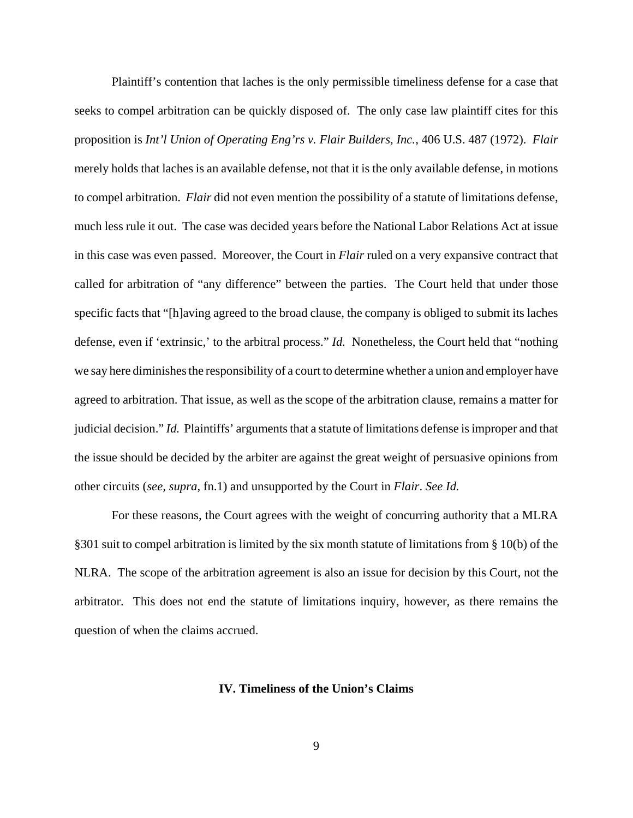Plaintiff's contention that laches is the only permissible timeliness defense for a case that seeks to compel arbitration can be quickly disposed of. The only case law plaintiff cites for this proposition is *Int'l Union of Operating Eng'rs v. Flair Builders, Inc.*, 406 U.S. 487 (1972). *Flair* merely holds that laches is an available defense, not that it is the only available defense, in motions to compel arbitration. *Flair* did not even mention the possibility of a statute of limitations defense, much less rule it out. The case was decided years before the National Labor Relations Act at issue in this case was even passed. Moreover, the Court in *Flair* ruled on a very expansive contract that called for arbitration of "any difference" between the parties. The Court held that under those specific facts that "[h]aving agreed to the broad clause, the company is obliged to submit its laches defense, even if 'extrinsic,' to the arbitral process." *Id.* Nonetheless, the Court held that "nothing we say here diminishes the responsibility of a court to determine whether a union and employer have agreed to arbitration. That issue, as well as the scope of the arbitration clause, remains a matter for judicial decision." *Id.* Plaintiffs' arguments that a statute of limitations defense is improper and that the issue should be decided by the arbiter are against the great weight of persuasive opinions from other circuits (*see, supra*, fn.1) and unsupported by the Court in *Flair*. *See Id.*

For these reasons, the Court agrees with the weight of concurring authority that a MLRA §301 suit to compel arbitration is limited by the six month statute of limitations from § 10(b) of the NLRA. The scope of the arbitration agreement is also an issue for decision by this Court, not the arbitrator. This does not end the statute of limitations inquiry, however, as there remains the question of when the claims accrued.

# **IV. Timeliness of the Union's Claims**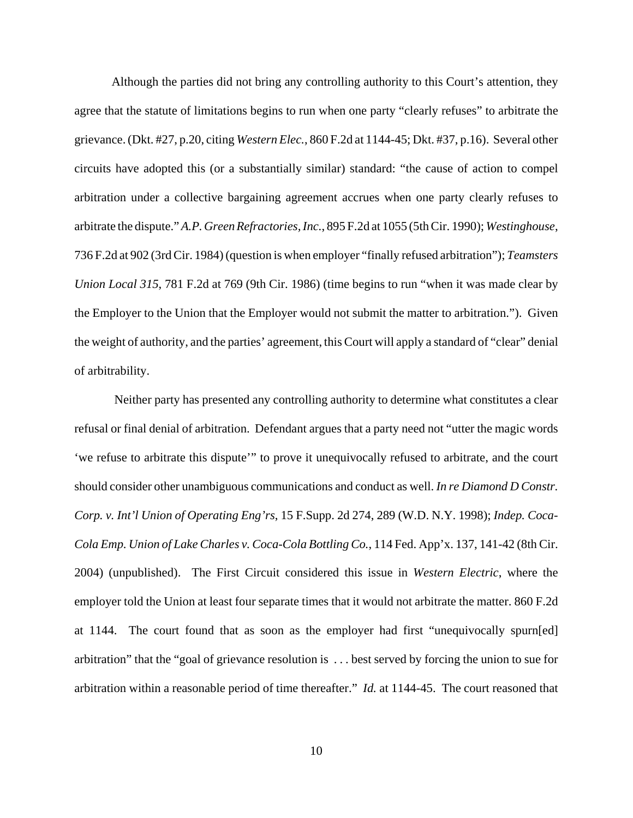Although the parties did not bring any controlling authority to this Court's attention, they agree that the statute of limitations begins to run when one party "clearly refuses" to arbitrate the grievance. (Dkt. #27, p.20, citing *Western Elec.*, 860 F.2d at 1144-45; Dkt. #37, p.16). Several other circuits have adopted this (or a substantially similar) standard: "the cause of action to compel arbitration under a collective bargaining agreement accrues when one party clearly refuses to arbitrate the dispute." *A.P. Green Refractories, Inc.*, 895 F.2d at 1055 (5th Cir. 1990); *Westinghouse*, 736 F.2d at 902 (3rd Cir. 1984) (question is when employer "finally refused arbitration"); *Teamsters Union Local 315*, 781 F.2d at 769 (9th Cir. 1986) (time begins to run "when it was made clear by the Employer to the Union that the Employer would not submit the matter to arbitration."). Given the weight of authority, and the parties' agreement, this Court will apply a standard of "clear" denial of arbitrability.

 Neither party has presented any controlling authority to determine what constitutes a clear refusal or final denial of arbitration. Defendant argues that a party need not "utter the magic words 'we refuse to arbitrate this dispute'" to prove it unequivocally refused to arbitrate, and the court should consider other unambiguous communications and conduct as well. *In re Diamond D Constr. Corp. v. Int'l Union of Operating Eng'rs*, 15 F.Supp. 2d 274, 289 (W.D. N.Y. 1998); *Indep. Coca-Cola Emp. Union of Lake Charles v. Coca-Cola Bottling Co.*, 114 Fed. App'x. 137, 141-42 (8th Cir. 2004) (unpublished).The First Circuit considered this issue in *Western Electric*, where the employer told the Union at least four separate times that it would not arbitrate the matter. 860 F.2d at 1144. The court found that as soon as the employer had first "unequivocally spurn[ed] arbitration" that the "goal of grievance resolution is . . . best served by forcing the union to sue for arbitration within a reasonable period of time thereafter." *Id.* at 1144-45. The court reasoned that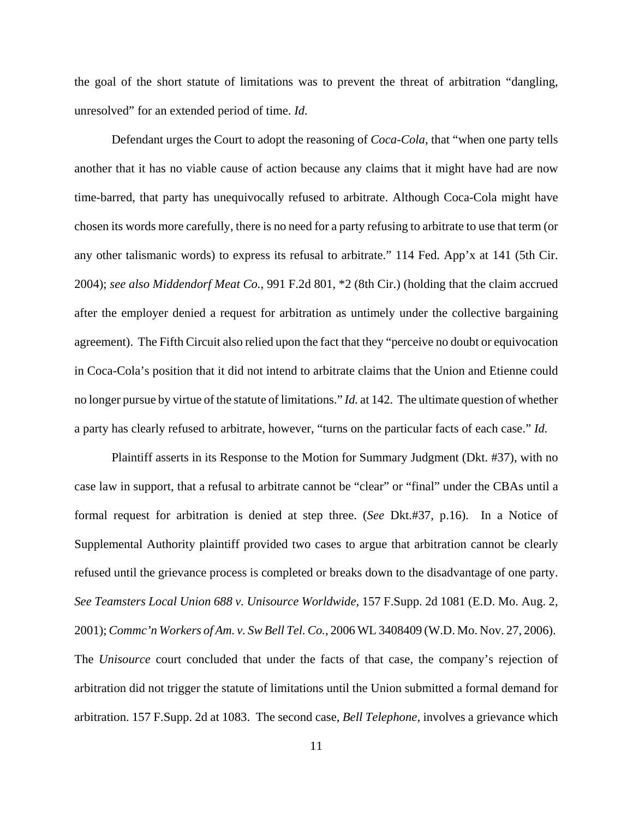the goal of the short statute of limitations was to prevent the threat of arbitration "dangling, unresolved" for an extended period of time. *Id.* 

Defendant urges the Court to adopt the reasoning of *Coca-Cola*, that "when one party tells another that it has no viable cause of action because any claims that it might have had are now time-barred, that party has unequivocally refused to arbitrate. Although Coca-Cola might have chosen its words more carefully, there is no need for a party refusing to arbitrate to use that term (or any other talismanic words) to express its refusal to arbitrate." 114 Fed. App'x at 141 (5th Cir. 2004); *see also Middendorf Meat Co.*, 991 F.2d 801, \*2 (8th Cir.) (holding that the claim accrued after the employer denied a request for arbitration as untimely under the collective bargaining agreement). The Fifth Circuit also relied upon the fact that they "perceive no doubt or equivocation in Coca-Cola's position that it did not intend to arbitrate claims that the Union and Etienne could no longer pursue by virtue of the statute of limitations." *Id.* at 142. The ultimate question of whether a party has clearly refused to arbitrate, however, "turns on the particular facts of each case." *Id.*

Plaintiff asserts in its Response to the Motion for Summary Judgment (Dkt. #37), with no case law in support, that a refusal to arbitrate cannot be "clear" or "final" under the CBAs until a formal request for arbitration is denied at step three. (*See* Dkt.#37, p.16). In a Notice of Supplemental Authority plaintiff provided two cases to argue that arbitration cannot be clearly refused until the grievance process is completed or breaks down to the disadvantage of one party. *See Teamsters Local Union 688 v. Unisource Worldwide*, 157 F.Supp. 2d 1081 (E.D. Mo. Aug. 2, 2001); *Commc'n Workers of Am. v. Sw Bell Tel. Co.*, 2006 WL 3408409 (W.D. Mo. Nov. 27, 2006). The *Unisource* court concluded that under the facts of that case, the company's rejection of arbitration did not trigger the statute of limitations until the Union submitted a formal demand for arbitration. 157 F.Supp. 2d at 1083. The second case, *Bell Telephone*, involves a grievance which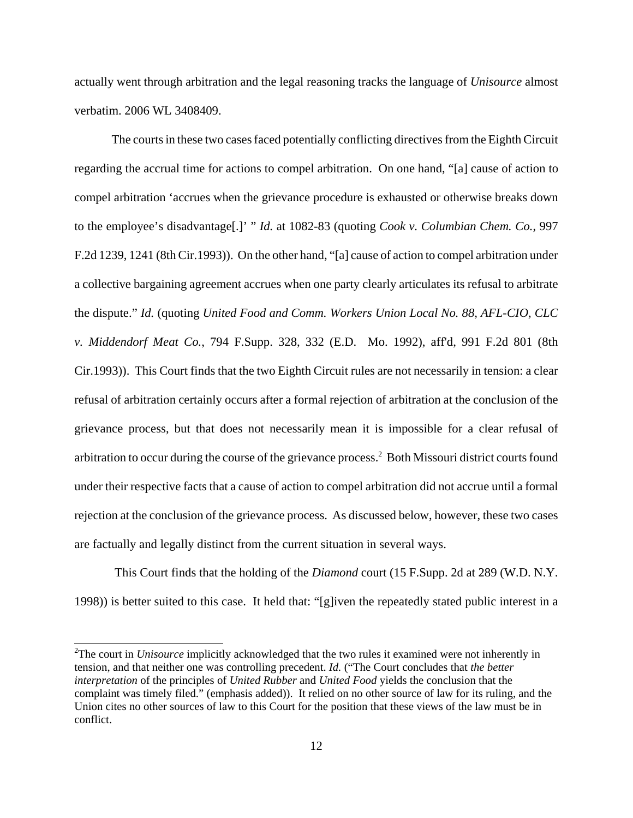actually went through arbitration and the legal reasoning tracks the language of *Unisource* almost verbatim. 2006 WL 3408409.

The courts in these two cases faced potentially conflicting directives from the Eighth Circuit regarding the accrual time for actions to compel arbitration. On one hand, "[a] cause of action to compel arbitration 'accrues when the grievance procedure is exhausted or otherwise breaks down to the employee's disadvantage[.]' " *Id.* at 1082-83 (quoting *Cook v. Columbian Chem. Co.*, 997 F.2d 1239, 1241 (8th Cir.1993)). On the other hand, "[a] cause of action to compel arbitration under a collective bargaining agreement accrues when one party clearly articulates its refusal to arbitrate the dispute." *Id.* (quoting *United Food and Comm. Workers Union Local No. 88, AFL-CIO, CLC v. Middendorf Meat Co.*, 794 F.Supp. 328, 332 (E.D. Mo. 1992), aff'd, 991 F.2d 801 (8th Cir.1993)). This Court finds that the two Eighth Circuit rules are not necessarily in tension: a clear refusal of arbitration certainly occurs after a formal rejection of arbitration at the conclusion of the grievance process, but that does not necessarily mean it is impossible for a clear refusal of arbitration to occur during the course of the grievance process.<sup>2</sup> Both Missouri district courts found under their respective facts that a cause of action to compel arbitration did not accrue until a formal rejection at the conclusion of the grievance process. As discussed below, however, these two cases are factually and legally distinct from the current situation in several ways.

 This Court finds that the holding of the *Diamond* court (15 F.Supp. 2d at 289 (W.D. N.Y. 1998)) is better suited to this case. It held that: "[g]iven the repeatedly stated public interest in a

<sup>2</sup>The court in *Unisource* implicitly acknowledged that the two rules it examined were not inherently in tension, and that neither one was controlling precedent. *Id.* ("The Court concludes that *the better interpretation* of the principles of *United Rubber* and *United Food* yields the conclusion that the complaint was timely filed." (emphasis added)). It relied on no other source of law for its ruling, and the Union cites no other sources of law to this Court for the position that these views of the law must be in conflict.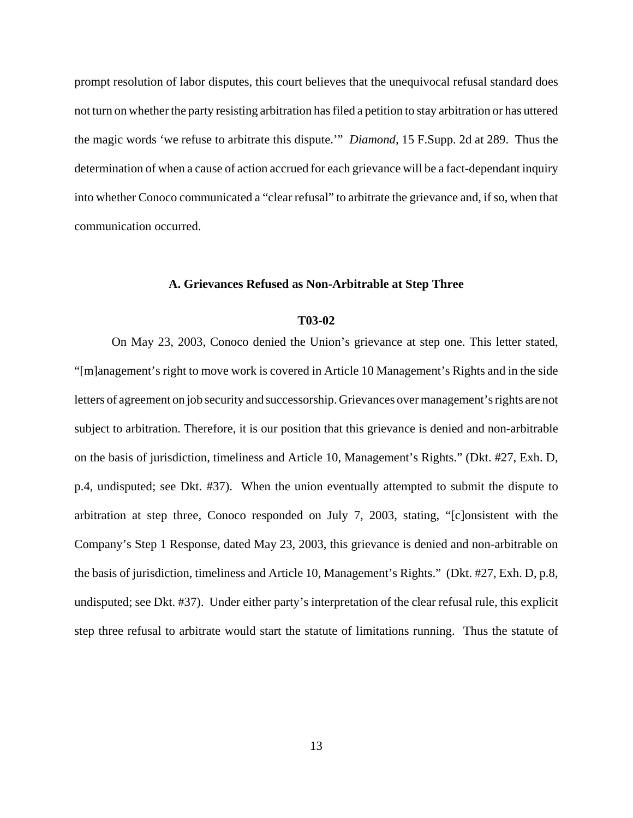prompt resolution of labor disputes, this court believes that the unequivocal refusal standard does not turn on whether the party resisting arbitration has filed a petition to stay arbitration or has uttered the magic words 'we refuse to arbitrate this dispute.'" *Diamond,* 15 F.Supp. 2d at 289. Thus the determination of when a cause of action accrued for each grievance will be a fact-dependant inquiry into whether Conoco communicated a "clear refusal" to arbitrate the grievance and, if so, when that communication occurred.

## **A. Grievances Refused as Non-Arbitrable at Step Three**

## **T03-02**

On May 23, 2003, Conoco denied the Union's grievance at step one. This letter stated, "[m]anagement's right to move work is covered in Article 10 Management's Rights and in the side letters of agreement on job security and successorship. Grievances over management's rights are not subject to arbitration. Therefore, it is our position that this grievance is denied and non-arbitrable on the basis of jurisdiction, timeliness and Article 10, Management's Rights." (Dkt. #27, Exh. D, p.4, undisputed; see Dkt. #37). When the union eventually attempted to submit the dispute to arbitration at step three, Conoco responded on July 7, 2003, stating, "[c]onsistent with the Company's Step 1 Response, dated May 23, 2003, this grievance is denied and non-arbitrable on the basis of jurisdiction, timeliness and Article 10, Management's Rights." (Dkt. #27, Exh. D, p.8, undisputed; see Dkt. #37). Under either party's interpretation of the clear refusal rule, this explicit step three refusal to arbitrate would start the statute of limitations running. Thus the statute of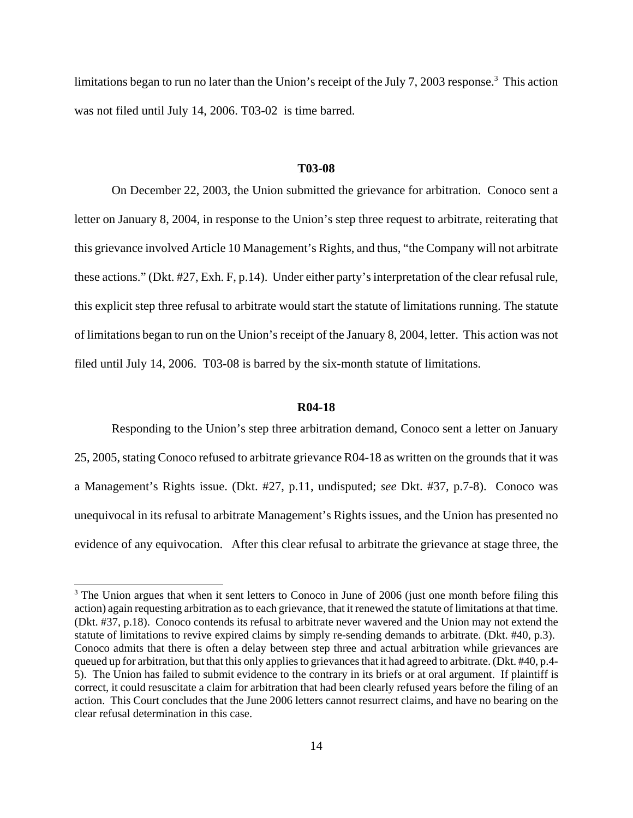limitations began to run no later than the Union's receipt of the July 7, 2003 response.<sup>3</sup> This action was not filed until July 14, 2006. T03-02 is time barred.

#### **T03-08**

On December 22, 2003, the Union submitted the grievance for arbitration. Conoco sent a letter on January 8, 2004, in response to the Union's step three request to arbitrate, reiterating that this grievance involved Article 10 Management's Rights, and thus, "the Company will not arbitrate these actions." (Dkt. #27, Exh. F, p.14). Under either party's interpretation of the clear refusal rule, this explicit step three refusal to arbitrate would start the statute of limitations running. The statute of limitations began to run on the Union's receipt of the January 8, 2004, letter.This action was not filed until July 14, 2006. T03-08 is barred by the six-month statute of limitations.

#### **R04-18**

Responding to the Union's step three arbitration demand, Conoco sent a letter on January 25, 2005, stating Conoco refused to arbitrate grievance R04-18 as written on the grounds that it was a Management's Rights issue. (Dkt. #27, p.11, undisputed; *see* Dkt. #37, p.7-8). Conoco was unequivocal in its refusal to arbitrate Management's Rights issues, and the Union has presented no evidence of any equivocation.After this clear refusal to arbitrate the grievance at stage three, the

<sup>&</sup>lt;sup>3</sup> The Union argues that when it sent letters to Conoco in June of 2006 (just one month before filing this action) again requesting arbitration as to each grievance, that it renewed the statute of limitations at that time. (Dkt. #37, p.18). Conoco contends its refusal to arbitrate never wavered and the Union may not extend the statute of limitations to revive expired claims by simply re-sending demands to arbitrate. (Dkt. #40, p.3). Conoco admits that there is often a delay between step three and actual arbitration while grievances are queued up for arbitration, but that this only applies to grievances that it had agreed to arbitrate. (Dkt. #40, p.4- 5). The Union has failed to submit evidence to the contrary in its briefs or at oral argument. If plaintiff is correct, it could resuscitate a claim for arbitration that had been clearly refused years before the filing of an action. This Court concludes that the June 2006 letters cannot resurrect claims, and have no bearing on the clear refusal determination in this case.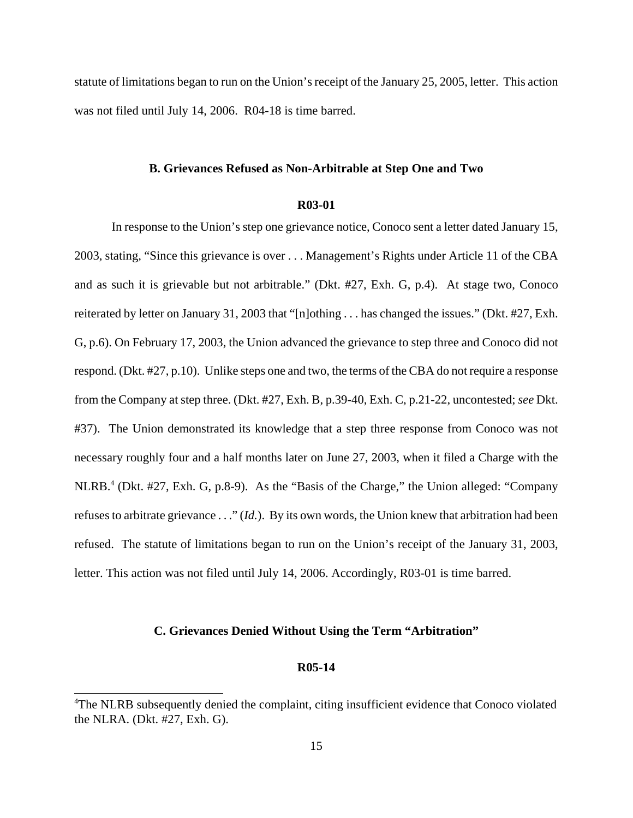statute of limitations began to run on the Union's receipt of the January 25, 2005, letter. This action was not filed until July 14, 2006. R04-18 is time barred.

#### **B. Grievances Refused as Non-Arbitrable at Step One and Two**

## **R03-01**

In response to the Union's step one grievance notice, Conoco sent a letter dated January 15, 2003, stating, "Since this grievance is over . . . Management's Rights under Article 11 of the CBA and as such it is grievable but not arbitrable." (Dkt. #27, Exh. G, p.4). At stage two, Conoco reiterated by letter on January 31, 2003 that "[n]othing . . . has changed the issues." (Dkt. #27, Exh. G, p.6). On February 17, 2003, the Union advanced the grievance to step three and Conoco did not respond. (Dkt. #27, p.10). Unlike steps one and two, the terms of the CBA do not require a response from the Company at step three. (Dkt. #27, Exh. B, p.39-40, Exh. C, p.21-22, uncontested; *see* Dkt. #37). The Union demonstrated its knowledge that a step three response from Conoco was not necessary roughly four and a half months later on June 27, 2003, when it filed a Charge with the NLRB.<sup>4</sup> (Dkt. #27, Exh. G, p.8-9). As the "Basis of the Charge," the Union alleged: "Company refuses to arbitrate grievance . . ." (*Id.*). By its own words, the Union knew that arbitration had been refused. The statute of limitations began to run on the Union's receipt of the January 31, 2003, letter. This action was not filed until July 14, 2006. Accordingly, R03-01 is time barred.

# **C. Grievances Denied Without Using the Term "Arbitration"**

## **R05-14**

<sup>&</sup>lt;sup>4</sup>The NLRB subsequently denied the complaint, citing insufficient evidence that Conoco violated the NLRA. (Dkt. #27, Exh. G).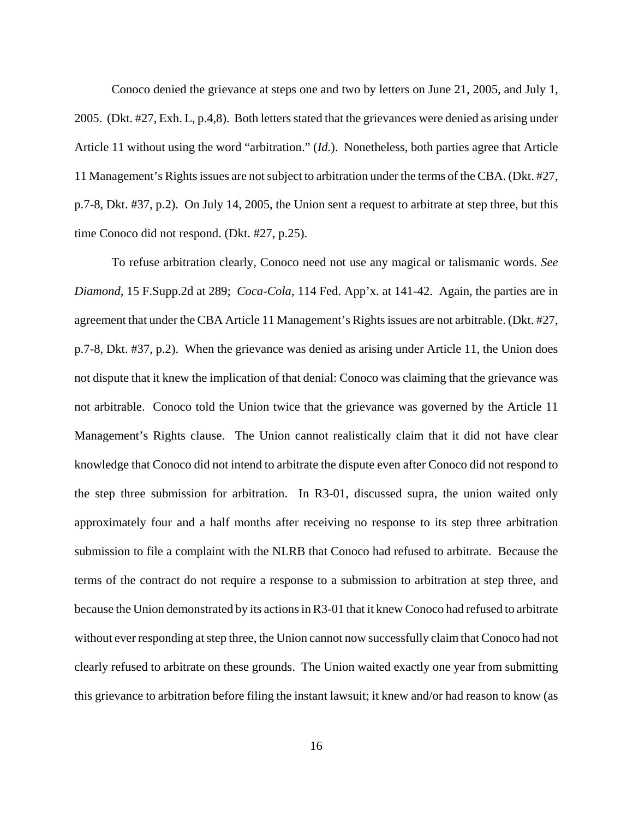Conoco denied the grievance at steps one and two by letters on June 21, 2005, and July 1, 2005. (Dkt. #27, Exh. L, p.4,8). Both letters stated that the grievances were denied as arising under Article 11 without using the word "arbitration." (*Id.*). Nonetheless, both parties agree that Article 11 Management's Rights issues are not subject to arbitration under the terms of the CBA. (Dkt. #27, p.7-8, Dkt. #37, p.2). On July 14, 2005, the Union sent a request to arbitrate at step three, but this time Conoco did not respond. (Dkt. #27, p.25).

To refuse arbitration clearly, Conoco need not use any magical or talismanic words. *See Diamond*, 15 F.Supp.2d at 289; *Coca-Cola*, 114 Fed. App'x. at 141-42. Again, the parties are in agreement that under the CBA Article 11 Management's Rights issues are not arbitrable. (Dkt. #27, p.7-8, Dkt. #37, p.2). When the grievance was denied as arising under Article 11, the Union does not dispute that it knew the implication of that denial: Conoco was claiming that the grievance was not arbitrable. Conoco told the Union twice that the grievance was governed by the Article 11 Management's Rights clause. The Union cannot realistically claim that it did not have clear knowledge that Conoco did not intend to arbitrate the dispute even after Conoco did not respond to the step three submission for arbitration. In R3-01, discussed supra, the union waited only approximately four and a half months after receiving no response to its step three arbitration submission to file a complaint with the NLRB that Conoco had refused to arbitrate. Because the terms of the contract do not require a response to a submission to arbitration at step three, and because the Union demonstrated by its actions in R3-01 that it knew Conoco had refused to arbitrate without ever responding at step three, the Union cannot now successfully claim that Conoco had not clearly refused to arbitrate on these grounds. The Union waited exactly one year from submitting this grievance to arbitration before filing the instant lawsuit; it knew and/or had reason to know (as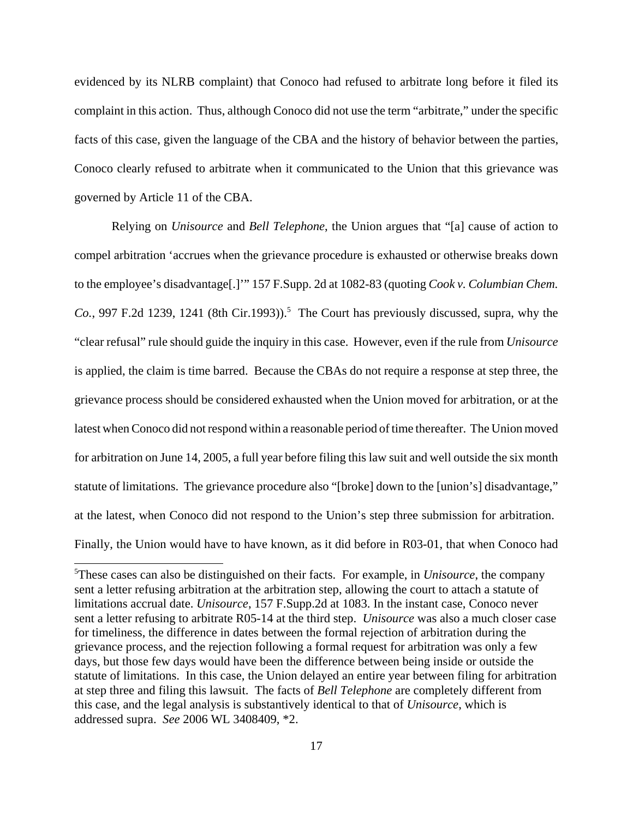evidenced by its NLRB complaint) that Conoco had refused to arbitrate long before it filed its complaint in this action. Thus, although Conoco did not use the term "arbitrate," under the specific facts of this case, given the language of the CBA and the history of behavior between the parties, Conoco clearly refused to arbitrate when it communicated to the Union that this grievance was governed by Article 11 of the CBA.

Relying on *Unisource* and *Bell Telephone*, the Union argues that "[a] cause of action to compel arbitration 'accrues when the grievance procedure is exhausted or otherwise breaks down to the employee's disadvantage[.]'" 157 F.Supp. 2d at 1082-83 (quoting *Cook v. Columbian Chem.*  $Co.$ , 997 F.2d 1239, 1241 (8th Cir.1993)).<sup>5</sup> The Court has previously discussed, supra, why the "clear refusal" rule should guide the inquiry in this case. However, even if the rule from *Unisource* is applied, the claim is time barred. Because the CBAs do not require a response at step three, the grievance process should be considered exhausted when the Union moved for arbitration, or at the latest when Conoco did not respond within a reasonable period of time thereafter. The Union moved for arbitration on June 14, 2005, a full year before filing this law suit and well outside the six month statute of limitations. The grievance procedure also "[broke] down to the [union's] disadvantage," at the latest, when Conoco did not respond to the Union's step three submission for arbitration. Finally, the Union would have to have known, as it did before in R03-01, that when Conoco had

<sup>5</sup>These cases can also be distinguished on their facts. For example, in *Unisource*, the company sent a letter refusing arbitration at the arbitration step, allowing the court to attach a statute of limitations accrual date. *Unisource*, 157 F.Supp.2d at 1083. In the instant case, Conoco never sent a letter refusing to arbitrate R05-14 at the third step. *Unisource* was also a much closer case for timeliness, the difference in dates between the formal rejection of arbitration during the grievance process, and the rejection following a formal request for arbitration was only a few days, but those few days would have been the difference between being inside or outside the statute of limitations. In this case, the Union delayed an entire year between filing for arbitration at step three and filing this lawsuit. The facts of *Bell Telephone* are completely different from this case, and the legal analysis is substantively identical to that of *Unisource*, which is addressed supra. *See* 2006 WL 3408409, \*2.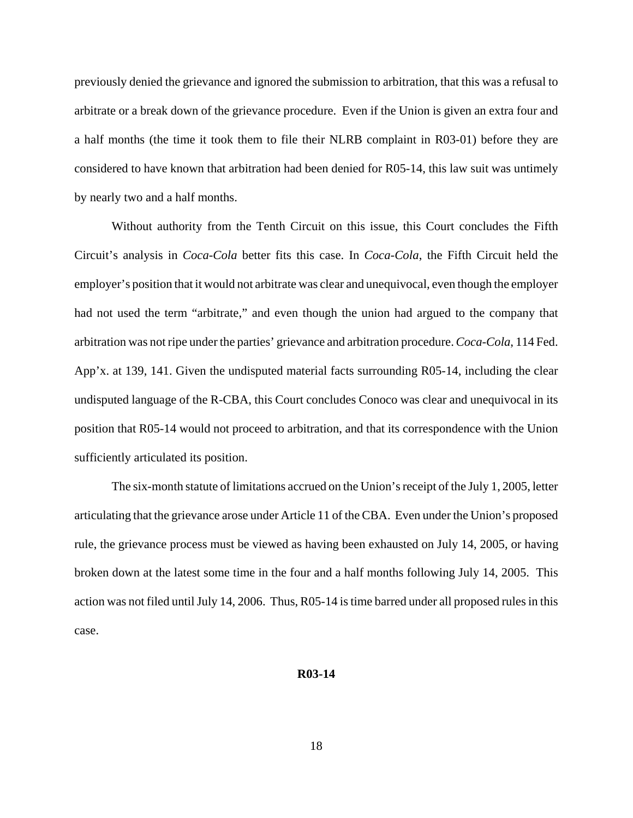previously denied the grievance and ignored the submission to arbitration, that this was a refusal to arbitrate or a break down of the grievance procedure. Even if the Union is given an extra four and a half months (the time it took them to file their NLRB complaint in R03-01) before they are considered to have known that arbitration had been denied for R05-14, this law suit was untimely by nearly two and a half months.

Without authority from the Tenth Circuit on this issue, this Court concludes the Fifth Circuit's analysis in *Coca-Cola* better fits this case. In *Coca-Cola*, the Fifth Circuit held the employer's position that it would not arbitrate was clear and unequivocal, even though the employer had not used the term "arbitrate," and even though the union had argued to the company that arbitration was not ripe under the parties' grievance and arbitration procedure. *Coca-Cola*, 114 Fed. App'x. at 139, 141. Given the undisputed material facts surrounding R05-14, including the clear undisputed language of the R-CBA, this Court concludes Conoco was clear and unequivocal in its position that R05-14 would not proceed to arbitration, and that its correspondence with the Union sufficiently articulated its position.

The six-month statute of limitations accrued on the Union's receipt of the July 1, 2005, letter articulating that the grievance arose under Article 11 of the CBA. Even under the Union's proposed rule, the grievance process must be viewed as having been exhausted on July 14, 2005, or having broken down at the latest some time in the four and a half months following July 14, 2005. This action was not filed until July 14, 2006. Thus, R05-14 is time barred under all proposed rules in this case.

#### **R03-14**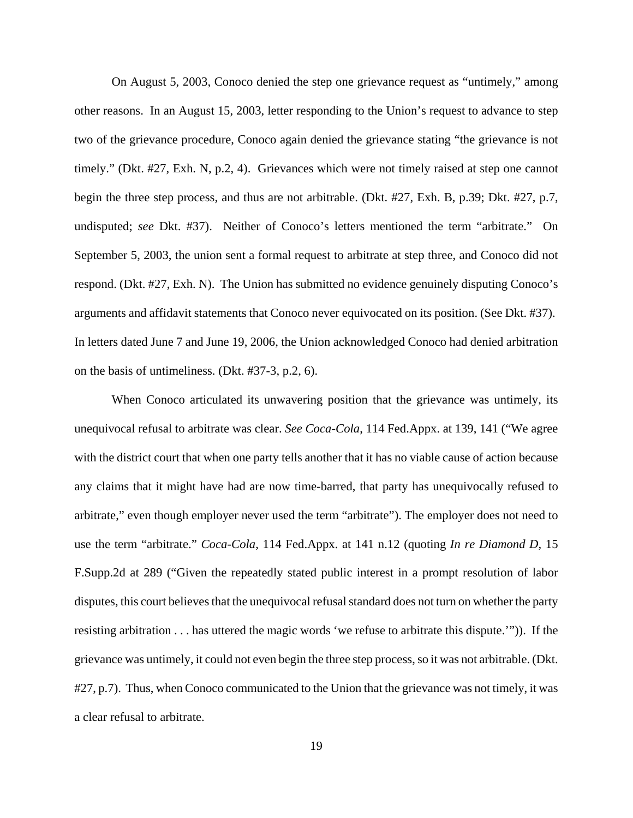On August 5, 2003, Conoco denied the step one grievance request as "untimely," among other reasons. In an August 15, 2003, letter responding to the Union's request to advance to step two of the grievance procedure, Conoco again denied the grievance stating "the grievance is not timely." (Dkt. #27, Exh. N, p.2, 4). Grievances which were not timely raised at step one cannot begin the three step process, and thus are not arbitrable. (Dkt. #27, Exh. B, p.39; Dkt. #27, p.7, undisputed; *see* Dkt. #37). Neither of Conoco's letters mentioned the term "arbitrate." On September 5, 2003, the union sent a formal request to arbitrate at step three, and Conoco did not respond. (Dkt. #27, Exh. N). The Union has submitted no evidence genuinely disputing Conoco's arguments and affidavit statements that Conoco never equivocated on its position. (See Dkt. #37). In letters dated June 7 and June 19, 2006, the Union acknowledged Conoco had denied arbitration on the basis of untimeliness. (Dkt. #37-3, p.2, 6).

When Conoco articulated its unwavering position that the grievance was untimely, its unequivocal refusal to arbitrate was clear. *See Coca-Cola*, 114 Fed.Appx. at 139, 141 ("We agree with the district court that when one party tells another that it has no viable cause of action because any claims that it might have had are now time-barred, that party has unequivocally refused to arbitrate," even though employer never used the term "arbitrate"). The employer does not need to use the term "arbitrate." *Coca-Cola*, 114 Fed.Appx. at 141 n.12 (quoting *In re Diamond D,* 15 F.Supp.2d at 289 ("Given the repeatedly stated public interest in a prompt resolution of labor disputes, this court believes that the unequivocal refusal standard does not turn on whether the party resisting arbitration . . . has uttered the magic words 'we refuse to arbitrate this dispute.'")). If the grievance was untimely, it could not even begin the three step process, so it was not arbitrable. (Dkt. #27, p.7). Thus, when Conoco communicated to the Union that the grievance was not timely, it was a clear refusal to arbitrate.